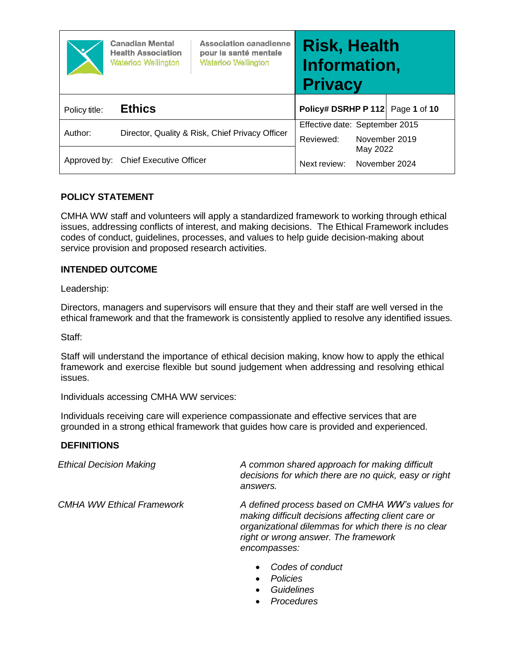|               | <b>Canadian Mental</b><br><b>Health Association</b><br><b>Waterloo Wellington</b> | <b>Association canadienne</b><br>pour la santé mentale<br><b>Waterloo Wellington</b> | <b>Risk, Health</b><br>Information,<br><b>Privacy</b> |                           |              |
|---------------|-----------------------------------------------------------------------------------|--------------------------------------------------------------------------------------|-------------------------------------------------------|---------------------------|--------------|
| Policy title: | <b>Ethics</b>                                                                     |                                                                                      | Policy# DSRHP P 112                                   |                           | Page 1 of 10 |
| Author:       |                                                                                   | Director, Quality & Risk, Chief Privacy Officer                                      | Effective date: September 2015<br>Reviewed:           | November 2019             |              |
|               | Approved by: Chief Executive Officer                                              |                                                                                      | Next review:                                          | May 2022<br>November 2024 |              |

### **POLICY STATEMENT**

CMHA WW staff and volunteers will apply a standardized framework to working through ethical issues, addressing conflicts of interest, and making decisions. The Ethical Framework includes codes of conduct, guidelines, processes, and values to help guide decision-making about service provision and proposed research activities.

#### **INTENDED OUTCOME**

Leadership:

Directors, managers and supervisors will ensure that they and their staff are well versed in the ethical framework and that the framework is consistently applied to resolve any identified issues.

Staff:

Staff will understand the importance of ethical decision making, know how to apply the ethical framework and exercise flexible but sound judgement when addressing and resolving ethical issues.

Individuals accessing CMHA WW services:

Individuals receiving care will experience compassionate and effective services that are grounded in a strong ethical framework that guides how care is provided and experienced.

#### **DEFINITIONS**

*Ethical Decision Making A common shared approach for making difficult decisions for which there are no quick, easy or right answers.*

*CMHA WW Ethical Framework A defined process based on CMHA WW's values for making difficult decisions affecting client care or organizational dilemmas for which there is no clear right or wrong answer. The framework encompasses:*

- *Codes of conduct*
- *Policies*
- *Guidelines*
- *Procedures*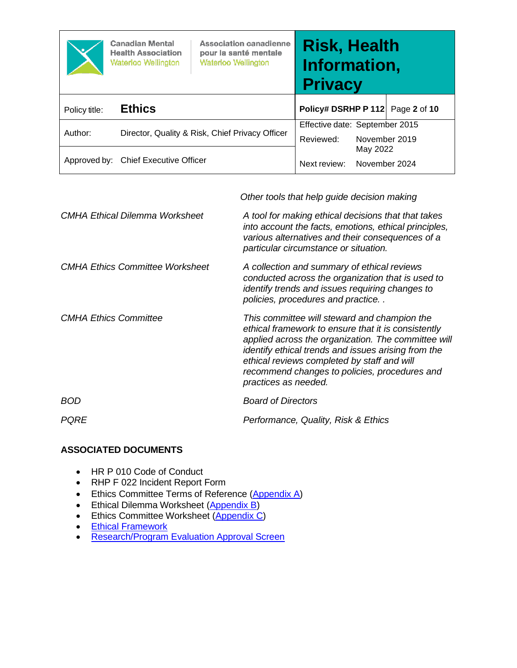|               | <b>Canadian Mental</b><br><b>Health Association</b><br><b>Waterloo Wellington</b> | <b>Association canadienne</b><br>pour la santé mentale<br><b>Waterloo Wellington</b> | <b>Risk, Health</b><br>Information,<br><b>Privacy</b> |                           |              |
|---------------|-----------------------------------------------------------------------------------|--------------------------------------------------------------------------------------|-------------------------------------------------------|---------------------------|--------------|
| Policy title: | <b>Ethics</b>                                                                     |                                                                                      | Policy# DSRHP P 112                                   |                           | Page 2 of 10 |
| Author:       | Director, Quality & Risk, Chief Privacy Officer                                   |                                                                                      | Effective date: September 2015<br>Reviewed:           | November 2019             |              |
|               | Approved by: Chief Executive Officer                                              |                                                                                      | Next review:                                          | May 2022<br>November 2024 |              |

*Other tools that help guide decision making*

| <b>CMHA Ethical Dilemma Worksheet</b>  | A tool for making ethical decisions that that takes<br>into account the facts, emotions, ethical principles,<br>various alternatives and their consequences of a<br>particular circumstance or situation.                                                                                                                                 |
|----------------------------------------|-------------------------------------------------------------------------------------------------------------------------------------------------------------------------------------------------------------------------------------------------------------------------------------------------------------------------------------------|
| <b>CMHA Ethics Committee Worksheet</b> | A collection and summary of ethical reviews<br>conducted across the organization that is used to<br>identify trends and issues requiring changes to<br>policies, procedures and practice                                                                                                                                                  |
| <b>CMHA Ethics Committee</b>           | This committee will steward and champion the<br>ethical framework to ensure that it is consistently<br>applied across the organization. The committee will<br>identify ethical trends and issues arising from the<br>ethical reviews completed by staff and will<br>recommend changes to policies, procedures and<br>practices as needed. |
| <b>BOD</b>                             | <b>Board of Directors</b>                                                                                                                                                                                                                                                                                                                 |
| <b>PQRE</b>                            | Performance, Quality, Risk & Ethics                                                                                                                                                                                                                                                                                                       |

# **ASSOCIATED DOCUMENTS**

- HR P 010 Code of Conduct
- RHP F 022 Incident Report Form
- Ethics Committee Terms of Reference [\(Appendix](#page-5-0) A)
- Ethical Dilemma Worksheet [\(Appendix](#page-8-0) B)
- Ethics Committee Worksheet [\(Appendix](#page-9-0) C)
- [Ethical Framework](https://cmhaww.sharepoint.com/:b:/r/sites/QualityRisk/Ethics/191101%20CMHA%20WW%20Ethics%20Framework.pdf?csf=1&web=1&e=5H3B5x)
- [Research/Program](https://cmhaww.sharepoint.com/:w:/r/sites/CMHAForms/Shared%20Documents/RHP%20F%2072%20Research%20and%20or%20Program%20Evalutation%20Approval%20Screen%20v20180830.docx?d=w7e3d5fc2b99d47fa838708dbc93cfaaf&csf=1&e=3GSa3m) Evaluation Approval Screen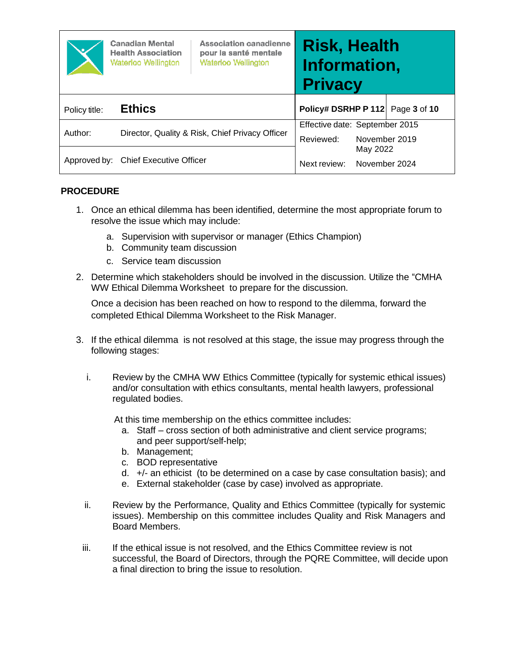|               | <b>Canadian Mental</b><br><b>Health Association</b><br><b>Waterloo Wellington</b> | <b>Association canadienne</b><br>pour la santé mentale<br><b>Waterloo Wellington</b> | <b>Risk, Health</b><br>Information,<br><b>Privacy</b> |                           |              |
|---------------|-----------------------------------------------------------------------------------|--------------------------------------------------------------------------------------|-------------------------------------------------------|---------------------------|--------------|
| Policy title: | <b>Ethics</b>                                                                     |                                                                                      | Policy# DSRHP P 112                                   |                           | Page 3 of 10 |
| Author:       | Director, Quality & Risk, Chief Privacy Officer                                   |                                                                                      | Effective date: September 2015<br>Reviewed:           | November 2019             |              |
|               | Approved by: Chief Executive Officer                                              |                                                                                      | Next review:                                          | May 2022<br>November 2024 |              |

### **PROCEDURE**

- 1. Once an ethical dilemma has been identified, determine the most appropriate forum to resolve the issue which may include:
	- a. Supervision with supervisor or manager (Ethics Champion)
	- b. Community team discussion
	- c. Service team discussion
- 2. Determine which stakeholders should be involved in the discussion. Utilize the "CMHA WW Ethical Dilemma Worksheet to prepare for the discussion.

Once a decision has been reached on how to respond to the dilemma, forward the completed Ethical Dilemma Worksheet to the Risk Manager.

- 3. If the ethical dilemma is not resolved at this stage, the issue may progress through the following stages:
	- i. Review by the CMHA WW Ethics Committee (typically for systemic ethical issues) and/or consultation with ethics consultants, mental health lawyers, professional regulated bodies.

At this time membership on the ethics committee includes:

- a. Staff cross section of both administrative and client service programs; and peer support/self-help;
- b. Management;
- c. BOD representative
- d. +/- an ethicist (to be determined on a case by case consultation basis); and
- e. External stakeholder (case by case) involved as appropriate.
- ii. Review by the Performance, Quality and Ethics Committee (typically for systemic issues). Membership on this committee includes Quality and Risk Managers and Board Members.
- iii. If the ethical issue is not resolved, and the Ethics Committee review is not successful, the Board of Directors, through the PQRE Committee, will decide upon a final direction to bring the issue to resolution.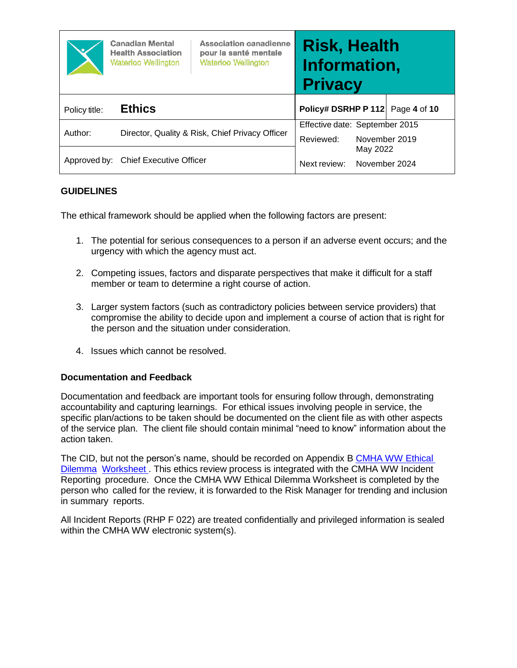|               | <b>Canadian Mental</b><br><b>Health Association</b><br><b>Waterloo Wellington</b> | <b>Association canadienne</b><br>pour la santé mentale<br><b>Waterloo Wellington</b> | <b>Risk, Health</b><br>Information,<br><b>Privacy</b> |                           |                                  |
|---------------|-----------------------------------------------------------------------------------|--------------------------------------------------------------------------------------|-------------------------------------------------------|---------------------------|----------------------------------|
| Policy title: | <b>Ethics</b>                                                                     |                                                                                      |                                                       |                           | Policy# DSRHP P 112 Page 4 of 10 |
| Author:       |                                                                                   | Director, Quality & Risk, Chief Privacy Officer                                      | Effective date: September 2015<br>Reviewed:           | November 2019             |                                  |
|               | Approved by: Chief Executive Officer                                              |                                                                                      | Next review:                                          | May 2022<br>November 2024 |                                  |

### **GUIDELINES**

The ethical framework should be applied when the following factors are present:

- 1. The potential for serious consequences to a person if an adverse event occurs; and the urgency with which the agency must act.
- 2. Competing issues, factors and disparate perspectives that make it difficult for a staff member or team to determine a right course of action.
- 3. Larger system factors (such as contradictory policies between service providers) that compromise the ability to decide upon and implement a course of action that is right for the person and the situation under consideration.
- 4. Issues which cannot be resolved.

#### **Documentation and Feedback**

Documentation and feedback are important tools for ensuring follow through, demonstrating accountability and capturing learnings. For ethical issues involving people in service, the specific plan/actions to be taken should be documented on the client file as with other aspects of the service plan. The client file should contain minimal "need to know" information about the action taken.

The CID, but not the person's name, should be recorded on Appendix B CMHA WW [Ethical](#page-8-0)  [Dilemma](#page-8-0) [Worksheet](#page-8-0) . This ethics review process is integrated with the CMHA WW Incident Reporting procedure. Once the CMHA WW Ethical Dilemma Worksheet is completed by the person who called for the review, it is forwarded to the Risk Manager for trending and inclusion in summary reports.

All Incident Reports (RHP F 022) are treated confidentially and privileged information is sealed within the CMHA WW electronic system(s).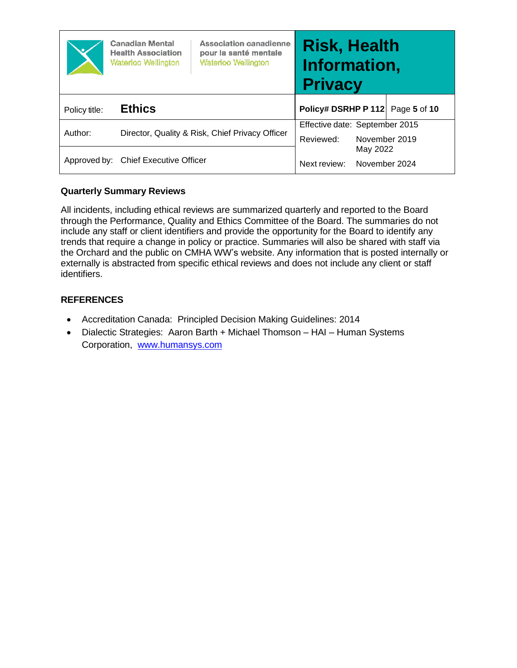|               | <b>Canadian Mental</b><br><b>Health Association</b><br><b>Waterloo Wellington</b> | <b>Association canadienne</b><br>pour la santé mentale<br><b>Waterloo Wellington</b> | <b>Risk, Health</b><br>Information,<br><b>Privacy</b> |                           |              |
|---------------|-----------------------------------------------------------------------------------|--------------------------------------------------------------------------------------|-------------------------------------------------------|---------------------------|--------------|
| Policy title: | <b>Ethics</b>                                                                     |                                                                                      | Policy# DSRHP P 112                                   |                           | Page 5 of 10 |
| Author:       |                                                                                   | Director, Quality & Risk, Chief Privacy Officer                                      | Effective date: September 2015<br>Reviewed:           | November 2019             |              |
|               | Approved by: Chief Executive Officer                                              |                                                                                      | Next review:                                          | May 2022<br>November 2024 |              |

# **Quarterly Summary Reviews**

All incidents, including ethical reviews are summarized quarterly and reported to the Board through the Performance, Quality and Ethics Committee of the Board. The summaries do not include any staff or client identifiers and provide the opportunity for the Board to identify any trends that require a change in policy or practice. Summaries will also be shared with staff via the Orchard and the public on CMHA WW's website. Any information that is posted internally or externally is abstracted from specific ethical reviews and does not include any client or staff identifiers.

### **REFERENCES**

- Accreditation Canada: Principled Decision Making Guidelines: 2014
- Dialectic Strategies: Aaron Barth + Michael Thomson HAI Human Systems Corporation, [www.humansys.com](http://www.humansys.com/)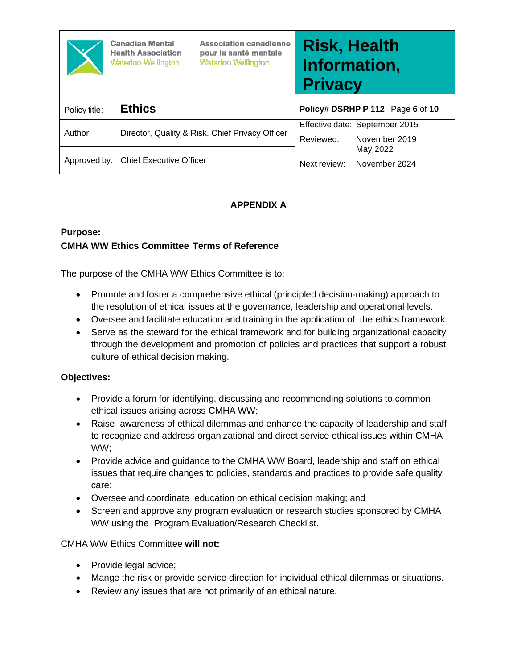|               | <b>Canadian Mental</b><br><b>Health Association</b><br><b>Waterloo Wellington</b> | <b>Association canadienne</b><br>pour la santé mentale<br><b>Waterloo Wellington</b> | <b>Risk, Health</b><br>Information,<br><b>Privacy</b> |                           |  |
|---------------|-----------------------------------------------------------------------------------|--------------------------------------------------------------------------------------|-------------------------------------------------------|---------------------------|--|
| Policy title: | <b>Ethics</b>                                                                     |                                                                                      | Policy# DSRHP P 112 Page 6 of 10                      |                           |  |
| Author:       |                                                                                   | Director, Quality & Risk, Chief Privacy Officer                                      | Effective date: September 2015<br>Reviewed:           | November 2019             |  |
|               | Approved by: Chief Executive Officer                                              |                                                                                      | Next review:                                          | May 2022<br>November 2024 |  |

# **APPENDIX A**

# <span id="page-5-0"></span>**Purpose: CMHA WW Ethics Committee Terms of Reference**

The purpose of the CMHA WW Ethics Committee is to:

- Promote and foster a comprehensive ethical (principled decision-making) approach to the resolution of ethical issues at the governance, leadership and operational levels.
- Oversee and facilitate education and training in the application of the ethics framework.
- Serve as the steward for the ethical framework and for building organizational capacity through the development and promotion of policies and practices that support a robust culture of ethical decision making.

# **Objectives:**

- Provide a forum for identifying, discussing and recommending solutions to common ethical issues arising across CMHA WW;
- Raise awareness of ethical dilemmas and enhance the capacity of leadership and staff to recognize and address organizational and direct service ethical issues within CMHA WW;
- Provide advice and guidance to the CMHA WW Board, leadership and staff on ethical issues that require changes to policies, standards and practices to provide safe quality care;
- Oversee and coordinate education on ethical decision making; and
- Screen and approve any program evaluation or research studies sponsored by CMHA WW using the Program Evaluation/Research Checklist.

# CMHA WW Ethics Committee **will not:**

- Provide legal advice;
- Mange the risk or provide service direction for individual ethical dilemmas or situations.
- Review any issues that are not primarily of an ethical nature.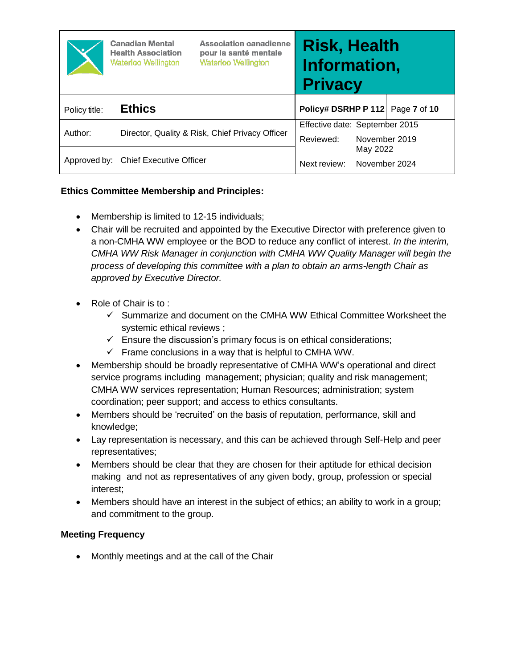|               | <b>Canadian Mental</b><br><b>Health Association</b><br><b>Waterloo Wellington</b> | <b>Association canadienne</b><br>pour la santé mentale<br><b>Waterloo Wellington</b> | <b>Risk, Health</b><br>Information,<br><b>Privacy</b> |                           |              |
|---------------|-----------------------------------------------------------------------------------|--------------------------------------------------------------------------------------|-------------------------------------------------------|---------------------------|--------------|
| Policy title: | <b>Ethics</b>                                                                     |                                                                                      | Policy# DSRHP P 112                                   |                           | Page 7 of 10 |
| Author:       |                                                                                   | Director, Quality & Risk, Chief Privacy Officer                                      | Effective date: September 2015<br>Reviewed:           | November 2019             |              |
|               | Approved by: Chief Executive Officer                                              |                                                                                      | Next review:                                          | May 2022<br>November 2024 |              |

# **Ethics Committee Membership and Principles:**

- Membership is limited to 12-15 individuals;
- Chair will be recruited and appointed by the Executive Director with preference given to a non-CMHA WW employee or the BOD to reduce any conflict of interest. *In the interim, CMHA WW Risk Manager in conjunction with CMHA WW Quality Manager will begin the process of developing this committee with a plan to obtain an arms-length Chair as approved by Executive Director.*
- Role of Chair is to:
	- ✓ Summarize and document on the CMHA WW Ethical Committee Worksheet the systemic ethical reviews ;
	- $\checkmark$  Ensure the discussion's primary focus is on ethical considerations;
	- $\checkmark$  Frame conclusions in a way that is helpful to CMHA WW.
- Membership should be broadly representative of CMHA WW's operational and direct service programs including management; physician; quality and risk management; CMHA WW services representation; Human Resources; administration; system coordination; peer support; and access to ethics consultants.
- Members should be 'recruited' on the basis of reputation, performance, skill and knowledge;
- Lay representation is necessary, and this can be achieved through Self-Help and peer representatives;
- Members should be clear that they are chosen for their aptitude for ethical decision making and not as representatives of any given body, group, profession or special interest;
- Members should have an interest in the subject of ethics; an ability to work in a group; and commitment to the group.

# **Meeting Frequency**

• Monthly meetings and at the call of the Chair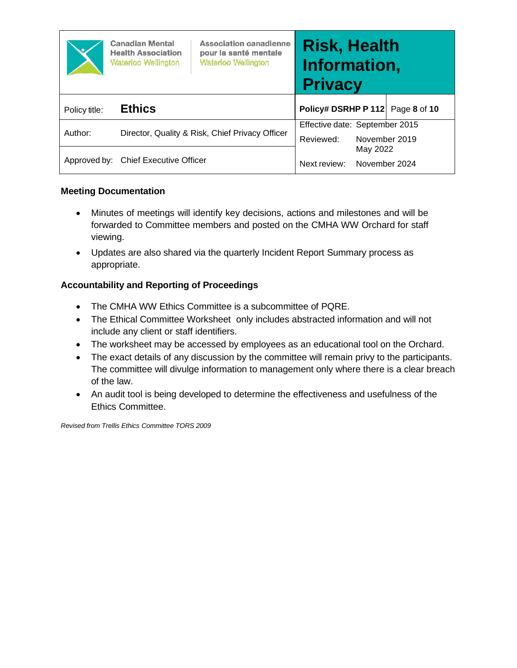|               | <b>Canadian Mental</b><br><b>Health Association</b><br><b>Waterloo Wellington</b> | <b>Association canadienne</b><br>pour la santé mentale<br><b>Waterloo Wellington</b> | <b>Risk, Health</b><br>Information,<br><b>Privacy</b> |                           |               |
|---------------|-----------------------------------------------------------------------------------|--------------------------------------------------------------------------------------|-------------------------------------------------------|---------------------------|---------------|
| Policy title: | <b>Ethics</b>                                                                     |                                                                                      | Policy# DSRHP P 112                                   |                           | Page 8 of 10  |
| Author:       |                                                                                   | Director, Quality & Risk, Chief Privacy Officer                                      | Effective date: September 2015<br>Reviewed:           |                           | November 2019 |
|               | Approved by: Chief Executive Officer                                              |                                                                                      | Next review:                                          | May 2022<br>November 2024 |               |

### **Meeting Documentation**

- Minutes of meetings will identify key decisions, actions and milestones and will be forwarded to Committee members and posted on the CMHA WW Orchard for staff viewing.
- Updates are also shared via the quarterly Incident Report Summary process as appropriate.

# **Accountability and Reporting of Proceedings**

- The CMHA WW Ethics Committee is a subcommittee of PQRE.
- The Ethical Committee Worksheet only includes abstracted information and will not include any client or staff identifiers.
- The worksheet may be accessed by employees as an educational tool on the Orchard.
- The exact details of any discussion by the committee will remain privy to the participants. The committee will divulge information to management only where there is a clear breach of the law.
- An audit tool is being developed to determine the effectiveness and usefulness of the Ethics Committee.

*Revised from Trellis Ethics Committee TORS 2009*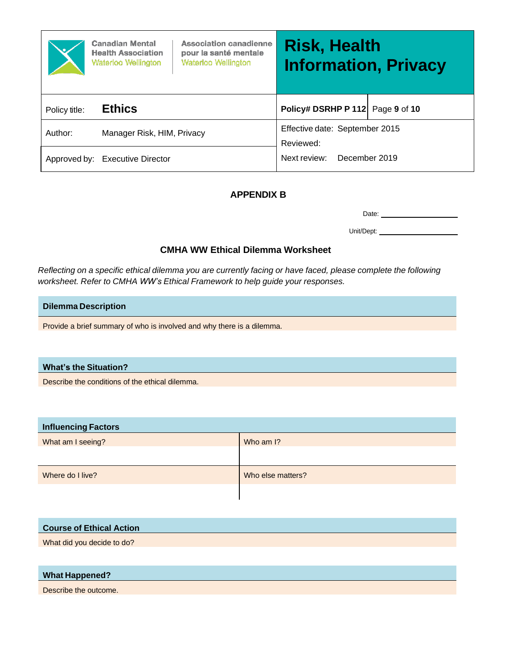|               | <b>Canadian Mental</b><br><b>Health Association</b><br><b>Waterloo Wellington</b> | <b>Association canadienne</b><br>pour la santé mentale<br><b>Waterloo Wellington</b> | <b>Risk, Health</b><br><b>Information, Privacy</b> |  |
|---------------|-----------------------------------------------------------------------------------|--------------------------------------------------------------------------------------|----------------------------------------------------|--|
| Policy title: | <b>Ethics</b>                                                                     |                                                                                      | Policy# DSRHP P 112 Page 9 of 10                   |  |
| Author:       | Manager Risk, HIM, Privacy                                                        |                                                                                      | Effective date: September 2015<br>Reviewed:        |  |
|               | Approved by: Executive Director                                                   |                                                                                      | Next review:<br>December 2019                      |  |

# **APPENDIX B**

Date:

Unit/Dept:

### **CMHA WW Ethical Dilemma Worksheet**

<span id="page-8-0"></span>Reflecting on a specific ethical dilemma you are currently facing or have faced, please complete the following *worksheet. Refer to CMHA WW's Ethical Framework to help guide your responses.*

#### **Dilemma Description**

Provide a brief summary of who is involved and why there is a dilemma.

#### **What's the Situation?**

Describe the conditions of the ethical dilemma.

| <b>Influencing Factors</b> |                   |
|----------------------------|-------------------|
| What am I seeing?          | Who am I?         |
|                            |                   |
| Where do I live?           | Who else matters? |
|                            |                   |

| <b>Course of Ethical Action</b> |  |
|---------------------------------|--|
| What did you decide to do?      |  |

#### **What Happened?**

Describe the outcome.